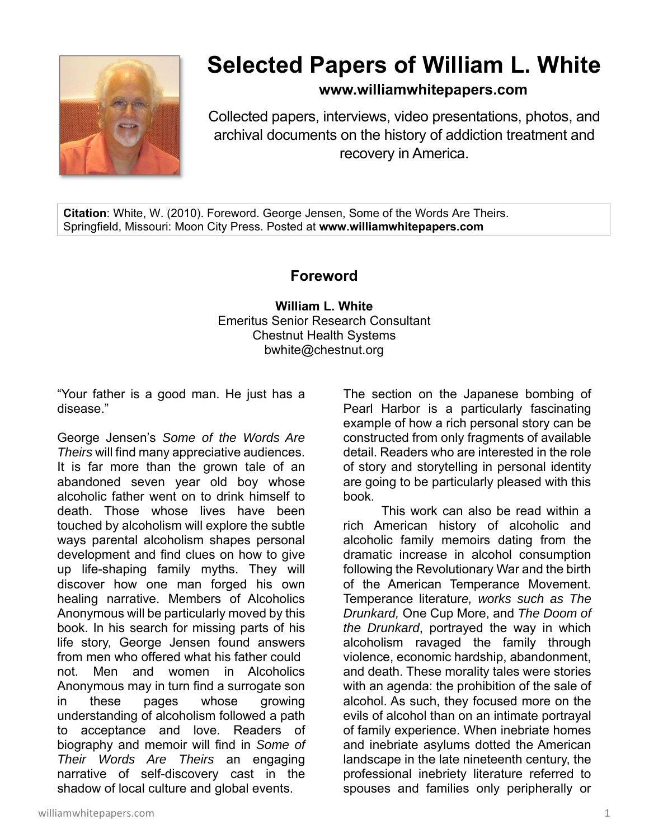

## **Selected Papers of William L. White**

**www.williamwhitepapers.com**

Collected papers, interviews, video presentations, photos, and archival documents on the history of addiction treatment and recovery in America.

**Citation**: White, W. (2010). Foreword. George Jensen, Some of the Words Are Theirs. Springfield, Missouri: Moon City Press. Posted at **www.williamwhitepapers.com** 

## **Foreword**

**William L. White**  Emeritus Senior Research Consultant Chestnut Health Systems bwhite@chestnut.org

"Your father is a good man. He just has a disease."

George Jensen's *Some of the Words Are Theirs* will find many appreciative audiences. It is far more than the grown tale of an abandoned seven year old boy whose alcoholic father went on to drink himself to death. Those whose lives have been touched by alcoholism will explore the subtle ways parental alcoholism shapes personal development and find clues on how to give up life-shaping family myths. They will discover how one man forged his own healing narrative. Members of Alcoholics Anonymous will be particularly moved by this book. In his search for missing parts of his life story, George Jensen found answers from men who offered what his father could not. Men and women in Alcoholics Anonymous may in turn find a surrogate son in these pages whose growing understanding of alcoholism followed a path to acceptance and love. Readers of biography and memoir will find in *Some of Their Words Are Theirs* an engaging narrative of self-discovery cast in the shadow of local culture and global events.

The section on the Japanese bombing of Pearl Harbor is a particularly fascinating example of how a rich personal story can be constructed from only fragments of available detail. Readers who are interested in the role of story and storytelling in personal identity are going to be particularly pleased with this book.

This work can also be read within a rich American history of alcoholic and alcoholic family memoirs dating from the dramatic increase in alcohol consumption following the Revolutionary War and the birth of the American Temperance Movement. Temperance literatur*e, works such as The Drunkard,* One Cup More, and *The Doom of the Drunkard*, portrayed the way in which alcoholism ravaged the family through violence, economic hardship, abandonment, and death. These morality tales were stories with an agenda: the prohibition of the sale of alcohol. As such, they focused more on the evils of alcohol than on an intimate portrayal of family experience. When inebriate homes and inebriate asylums dotted the American landscape in the late nineteenth century, the professional inebriety literature referred to spouses and families only peripherally or